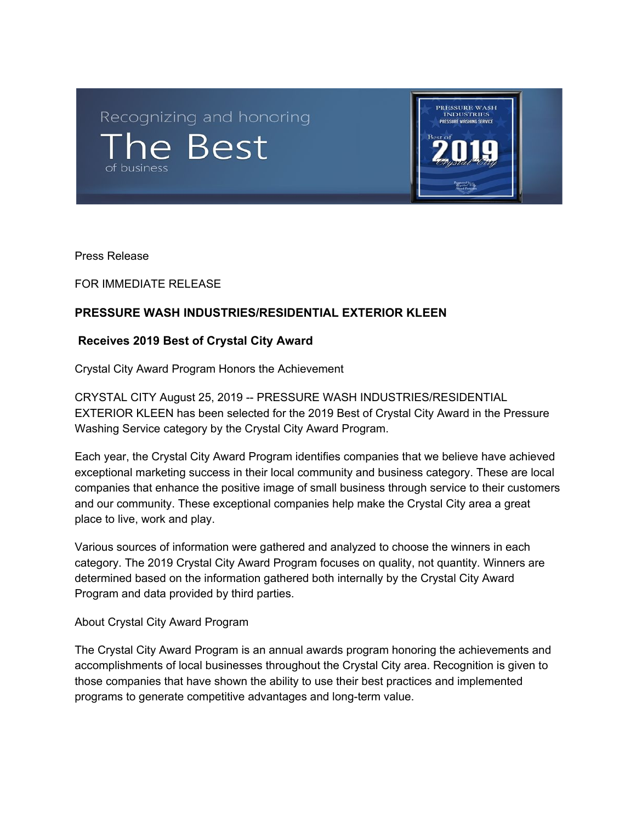Recognizing and honoring he Best



Press Release

FOR IMMEDIATE RELEASE

## **PRESSURE WASH INDUSTRIES/RESIDENTIAL EXTERIOR KLEEN**

## **Receives 2019 Best of Crystal City Award**

Crystal City Award Program Honors the Achievement

CRYSTAL CITY August 25, 2019 -- PRESSURE WASH INDUSTRIES/RESIDENTIAL EXTERIOR KLEEN has been selected for the 2019 Best of Crystal City Award in the Pressure Washing Service category by the Crystal City Award Program.

Each year, the Crystal City Award Program identifies companies that we believe have achieved exceptional marketing success in their local community and business category. These are local companies that enhance the positive image of small business through service to their customers and our community. These exceptional companies help make the Crystal City area a great place to live, work and play.

Various sources of information were gathered and analyzed to choose the winners in each category. The 2019 Crystal City Award Program focuses on quality, not quantity. Winners are determined based on the information gathered both internally by the Crystal City Award Program and data provided by third parties.

## About Crystal City Award Program

The Crystal City Award Program is an annual awards program honoring the achievements and accomplishments of local businesses throughout the Crystal City area. Recognition is given to those companies that have shown the ability to use their best practices and implemented programs to generate competitive advantages and long-term value.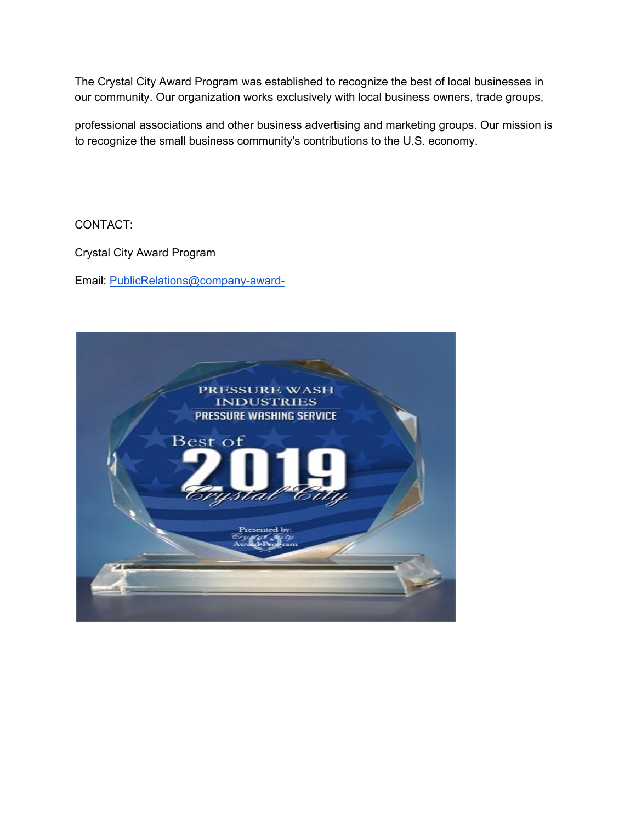The Crystal City Award Program was established to recognize the best of local businesses in our community. Our organization works exclusively with local business owners, trade groups,

professional associations and other business advertising and marketing groups. Our mission is to recognize the small business community's contributions to the U.S. economy.

CONTACT:

Crystal City Award Program

Email: [PublicRelations@company-award-](mailto:PublicRelations@company-award-2019.com)

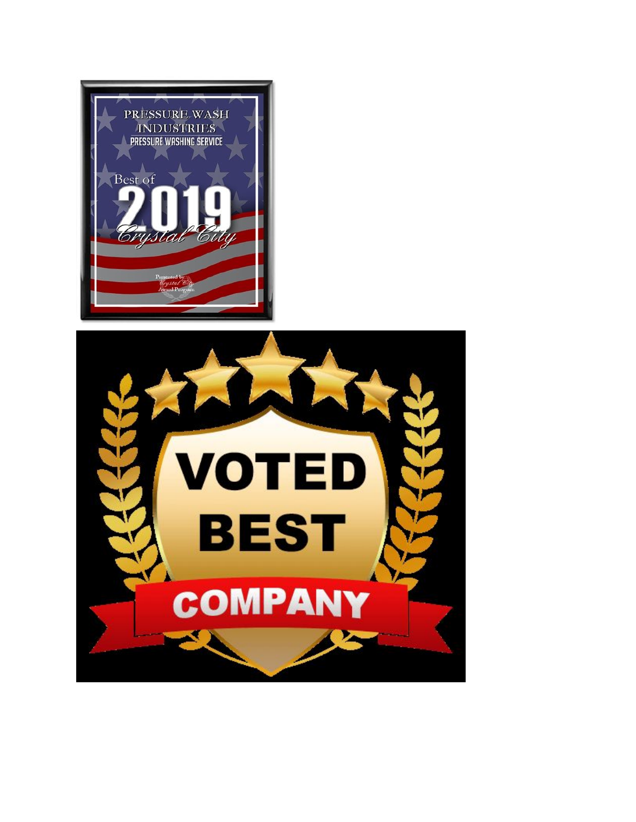